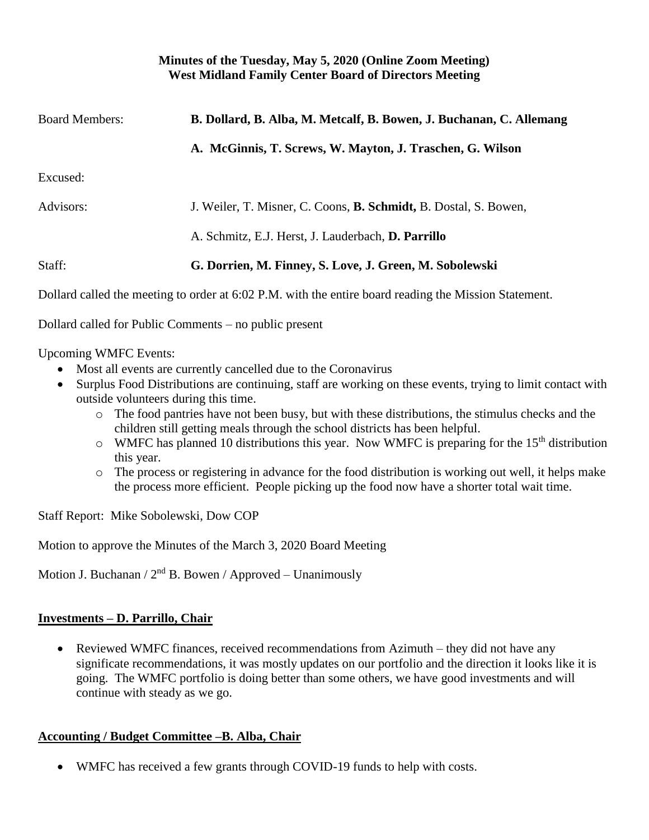#### **Minutes of the Tuesday, May 5, 2020 (Online Zoom Meeting) West Midland Family Center Board of Directors Meeting**

| <b>Board Members:</b> | B. Dollard, B. Alba, M. Metcalf, B. Bowen, J. Buchanan, C. Allemang      |
|-----------------------|--------------------------------------------------------------------------|
|                       | A. McGinnis, T. Screws, W. Mayton, J. Traschen, G. Wilson                |
| Excused:              |                                                                          |
| Advisors:             | J. Weiler, T. Misner, C. Coons, <b>B. Schmidt</b> , B. Dostal, S. Bowen, |
|                       | A. Schmitz, E.J. Herst, J. Lauderbach, D. Parrillo                       |
| Staff:                | G. Dorrien, M. Finney, S. Love, J. Green, M. Sobolewski                  |
|                       |                                                                          |

Dollard called the meeting to order at 6:02 P.M. with the entire board reading the Mission Statement.

Dollard called for Public Comments – no public present

Upcoming WMFC Events:

- Most all events are currently cancelled due to the Coronavirus
- Surplus Food Distributions are continuing, staff are working on these events, trying to limit contact with outside volunteers during this time.
	- o The food pantries have not been busy, but with these distributions, the stimulus checks and the children still getting meals through the school districts has been helpful.
	- $\circ$  WMFC has planned 10 distributions this year. Now WMFC is preparing for the 15<sup>th</sup> distribution this year.
	- o The process or registering in advance for the food distribution is working out well, it helps make the process more efficient. People picking up the food now have a shorter total wait time.

Staff Report: Mike Sobolewski, Dow COP

Motion to approve the Minutes of the March 3, 2020 Board Meeting

Motion J. Buchanan /  $2<sup>nd</sup>$  B. Bowen / Approved – Unanimously

### **Investments – D. Parrillo, Chair**

• Reviewed WMFC finances, received recommendations from Azimuth – they did not have any significate recommendations, it was mostly updates on our portfolio and the direction it looks like it is going. The WMFC portfolio is doing better than some others, we have good investments and will continue with steady as we go.

### **Accounting / Budget Committee –B. Alba, Chair**

• WMFC has received a few grants through COVID-19 funds to help with costs.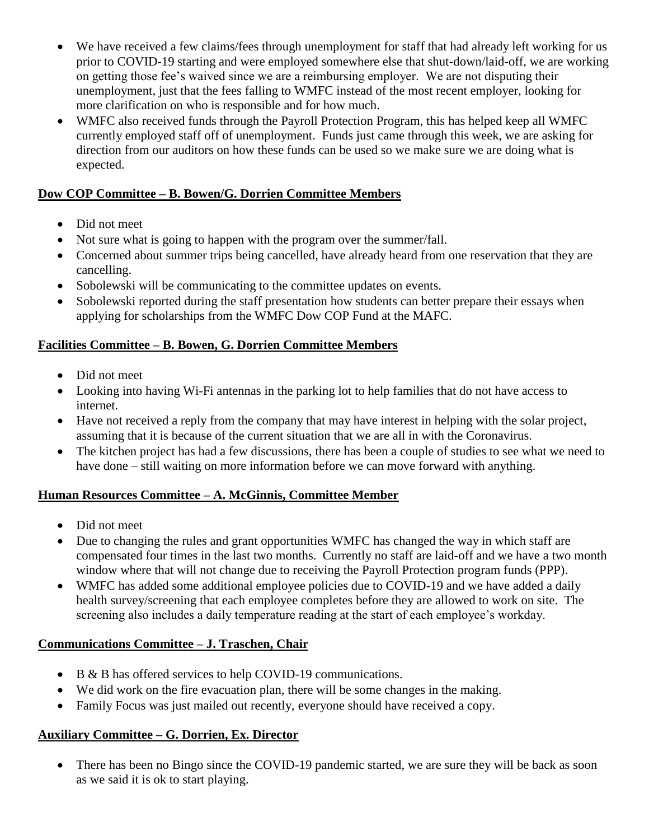- We have received a few claims/fees through unemployment for staff that had already left working for us prior to COVID-19 starting and were employed somewhere else that shut-down/laid-off, we are working on getting those fee's waived since we are a reimbursing employer. We are not disputing their unemployment, just that the fees falling to WMFC instead of the most recent employer, looking for more clarification on who is responsible and for how much.
- WMFC also received funds through the Payroll Protection Program, this has helped keep all WMFC currently employed staff off of unemployment. Funds just came through this week, we are asking for direction from our auditors on how these funds can be used so we make sure we are doing what is expected.

#### **Dow COP Committee – B. Bowen/G. Dorrien Committee Members**

- Did not meet
- Not sure what is going to happen with the program over the summer/fall.
- Concerned about summer trips being cancelled, have already heard from one reservation that they are cancelling.
- Sobolewski will be communicating to the committee updates on events.
- Sobolewski reported during the staff presentation how students can better prepare their essays when applying for scholarships from the WMFC Dow COP Fund at the MAFC.

### **Facilities Committee – B. Bowen, G. Dorrien Committee Members**

- Did not meet
- Looking into having Wi-Fi antennas in the parking lot to help families that do not have access to internet.
- Have not received a reply from the company that may have interest in helping with the solar project, assuming that it is because of the current situation that we are all in with the Coronavirus.
- The kitchen project has had a few discussions, there has been a couple of studies to see what we need to have done – still waiting on more information before we can move forward with anything.

### **Human Resources Committee – A. McGinnis, Committee Member**

- Did not meet
- Due to changing the rules and grant opportunities WMFC has changed the way in which staff are compensated four times in the last two months. Currently no staff are laid-off and we have a two month window where that will not change due to receiving the Payroll Protection program funds (PPP).
- WMFC has added some additional employee policies due to COVID-19 and we have added a daily health survey/screening that each employee completes before they are allowed to work on site. The screening also includes a daily temperature reading at the start of each employee's workday.

### **Communications Committee – J. Traschen, Chair**

- B & B has offered services to help COVID-19 communications.
- We did work on the fire evacuation plan, there will be some changes in the making.
- Family Focus was just mailed out recently, everyone should have received a copy.

### **Auxiliary Committee – G. Dorrien, Ex. Director**

• There has been no Bingo since the COVID-19 pandemic started, we are sure they will be back as soon as we said it is ok to start playing.